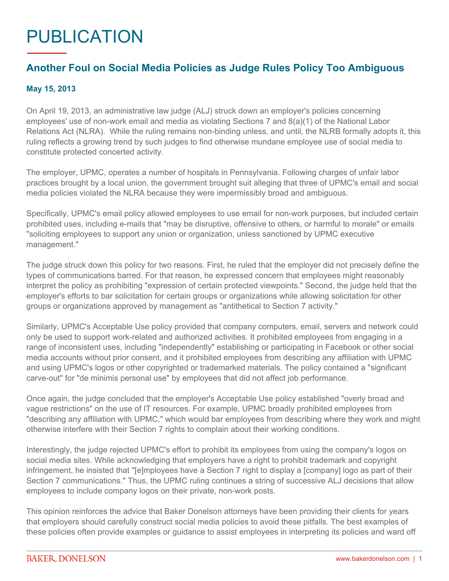## PUBLICATION

## **Another Foul on Social Media Policies as Judge Rules Policy Too Ambiguous**

## **May 15, 2013**

On April 19, 2013, an administrative law judge (ALJ) struck down an employer's policies concerning employees' use of non-work email and media as violating Sections 7 and 8(a)(1) of the National Labor Relations Act (NLRA). While the ruling remains non-binding unless, and until, the NLRB formally adopts it, this ruling reflects a growing trend by such judges to find otherwise mundane employee use of social media to constitute protected concerted activity.

The employer, UPMC, operates a number of hospitals in Pennsylvania. Following charges of unfair labor practices brought by a local union, the government brought suit alleging that three of UPMC's email and social media policies violated the NLRA because they were impermissibly broad and ambiguous.

Specifically, UPMC's email policy allowed employees to use email for non-work purposes, but included certain prohibited uses, including e-mails that "may be disruptive, offensive to others, or harmful to morale" or emails "soliciting employees to support any union or organization, unless sanctioned by UPMC executive management."

The judge struck down this policy for two reasons. First, he ruled that the employer did not precisely define the types of communications barred. For that reason, he expressed concern that employees might reasonably interpret the policy as prohibiting "expression of certain protected viewpoints." Second, the judge held that the employer's efforts to bar solicitation for certain groups or organizations while allowing solicitation for other groups or organizations approved by management as "antithetical to Section 7 activity."

Similarly, UPMC's Acceptable Use policy provided that company computers, email, servers and network could only be used to support work-related and authorized activities. It prohibited employees from engaging in a range of inconsistent uses, including "independently" establishing or participating in Facebook or other social media accounts without prior consent, and it prohibited employees from describing any affiliation with UPMC and using UPMC's logos or other copyrighted or trademarked materials. The policy contained a "significant carve-out" for "de minimis personal use" by employees that did not affect job performance.

Once again, the judge concluded that the employer's Acceptable Use policy established "overly broad and vague restrictions" on the use of IT resources. For example, UPMC broadly prohibited employees from "describing any affiliation with UPMC," which would bar employees from describing where they work and might otherwise interfere with their Section 7 rights to complain about their working conditions.

Interestingly, the judge rejected UPMC's effort to prohibit its employees from using the company's logos on social media sites. While acknowledging that employers have a right to prohibit trademark and copyright infringement, he insisted that "[e]mployees have a Section 7 right to display a [company] logo as part of their Section 7 communications." Thus, the UPMC ruling continues a string of successive ALJ decisions that allow employees to include company logos on their private, non-work posts.

This opinion reinforces the advice that Baker Donelson attorneys have been providing their clients for years that employers should carefully construct social media policies to avoid these pitfalls. The best examples of these policies often provide examples or guidance to assist employees in interpreting its policies and ward off